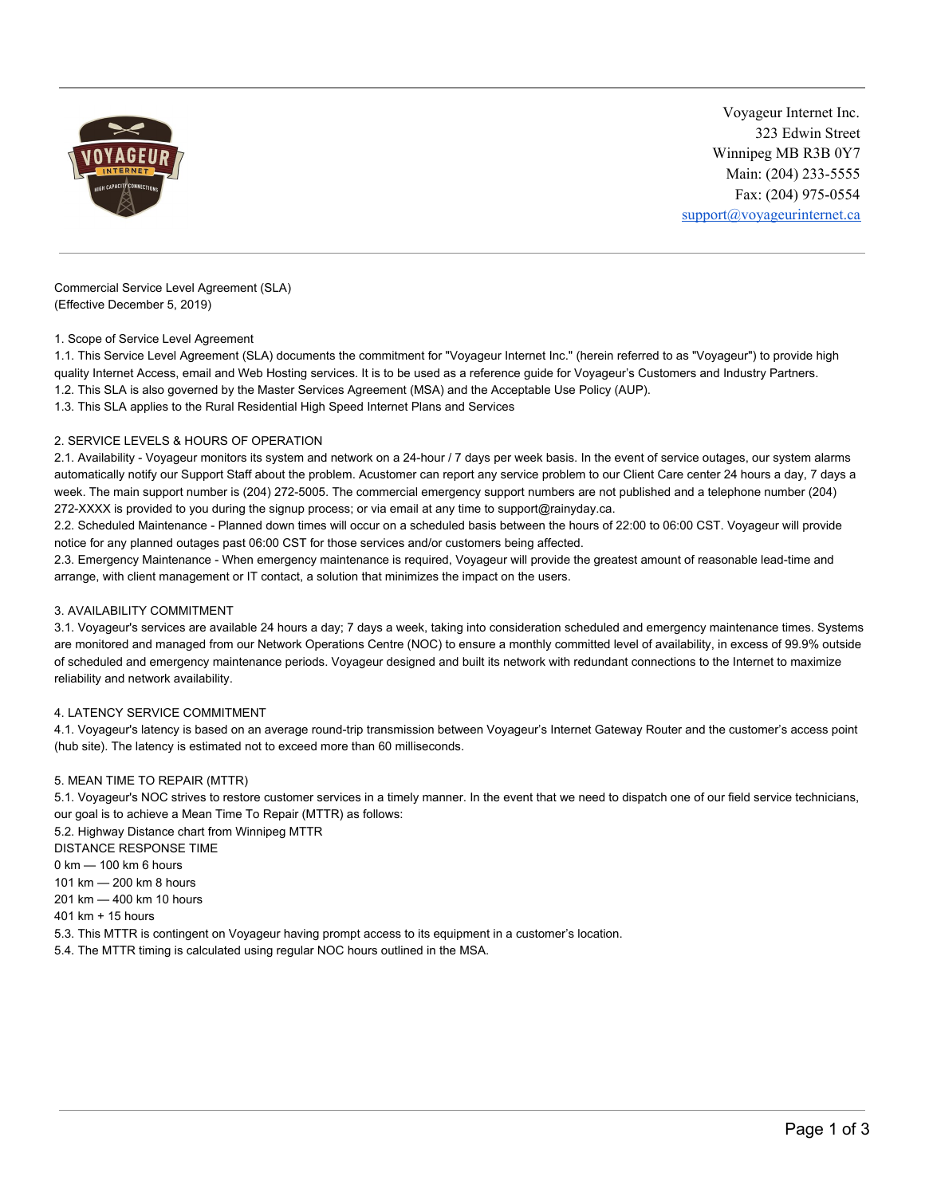

Voyageur Internet Inc. 323 Edwin Street Winnipeg MB R3B 0Y7 Main: (204) 233-5555 Fax: (204) 975-0554 [support@voyageurinternet.ca](mailto:support@voyageurinternet.ca)

Commercial Service Level Agreement (SLA) (Effective December 5, 2019)

# 1. Scope of Service Level Agreement

1.1. This Service Level Agreement (SLA) documents the commitment for "Voyageur Internet Inc." (herein referred to as "Voyageur") to provide high quality Internet Access, email and Web Hosting services. It is to be used as a reference guide for Voyageur's Customers and Industry Partners. 1.2. This SLA is also governed by the Master Services Agreement (MSA) and the Acceptable Use Policy (AUP).

1.3. This SLA applies to the Rural Residential High Speed Internet Plans and Services

# 2. SERVICE LEVELS & HOURS OF OPERATION

2.1. Availability - Voyageur monitors its system and network on a 24-hour / 7 days per week basis. In the event of service outages, our system alarms automatically notify our Support Staff about the problem. Acustomer can report any service problem to our Client Care center 24 hours a day, 7 days a week. The main support number is (204) 272-5005. The commercial emergency support numbers are not published and a telephone number (204) 272-XXXX is provided to you during the signup process; or via email at any time to support@rainyday.ca.

2.2. Scheduled Maintenance - Planned down times will occur on a scheduled basis between the hours of 22:00 to 06:00 CST. Voyageur will provide notice for any planned outages past 06:00 CST for those services and/or customers being affected.

2.3. Emergency Maintenance - When emergency maintenance is required, Voyageur will provide the greatest amount of reasonable lead-time and arrange, with client management or IT contact, a solution that minimizes the impact on the users.

### 3. AVAILABILITY COMMITMENT

3.1. Voyageur's services are available 24 hours a day; 7 days a week, taking into consideration scheduled and emergency maintenance times. Systems are monitored and managed from our Network Operations Centre (NOC) to ensure a monthly committed level of availability, in excess of 99.9% outside of scheduled and emergency maintenance periods. Voyageur designed and built its network with redundant connections to the Internet to maximize reliability and network availability.

## 4. LATENCY SERVICE COMMITMENT

4.1. Voyageur's latency is based on an average round-trip transmission between Voyageur's Internet Gateway Router and the customer's access point (hub site). The latency is estimated not to exceed more than 60 milliseconds.

### 5. MEAN TIME TO REPAIR (MTTR)

5.1. Voyageur's NOC strives to restore customer services in a timely manner. In the event that we need to dispatch one of our field service technicians, our goal is to achieve a Mean Time To Repair (MTTR) as follows:

- 5.2. Highway Distance chart from Winnipeg MTTR
- DISTANCE RESPONSE TIME
- 0 km 100 km 6 hours
- 101 km 200 km 8 hours
- 201 km 400 km 10 hours
- 401 km + 15 hours
- 5.3. This MTTR is contingent on Voyageur having prompt access to its equipment in a customer's location.
- 5.4. The MTTR timing is calculated using regular NOC hours outlined in the MSA.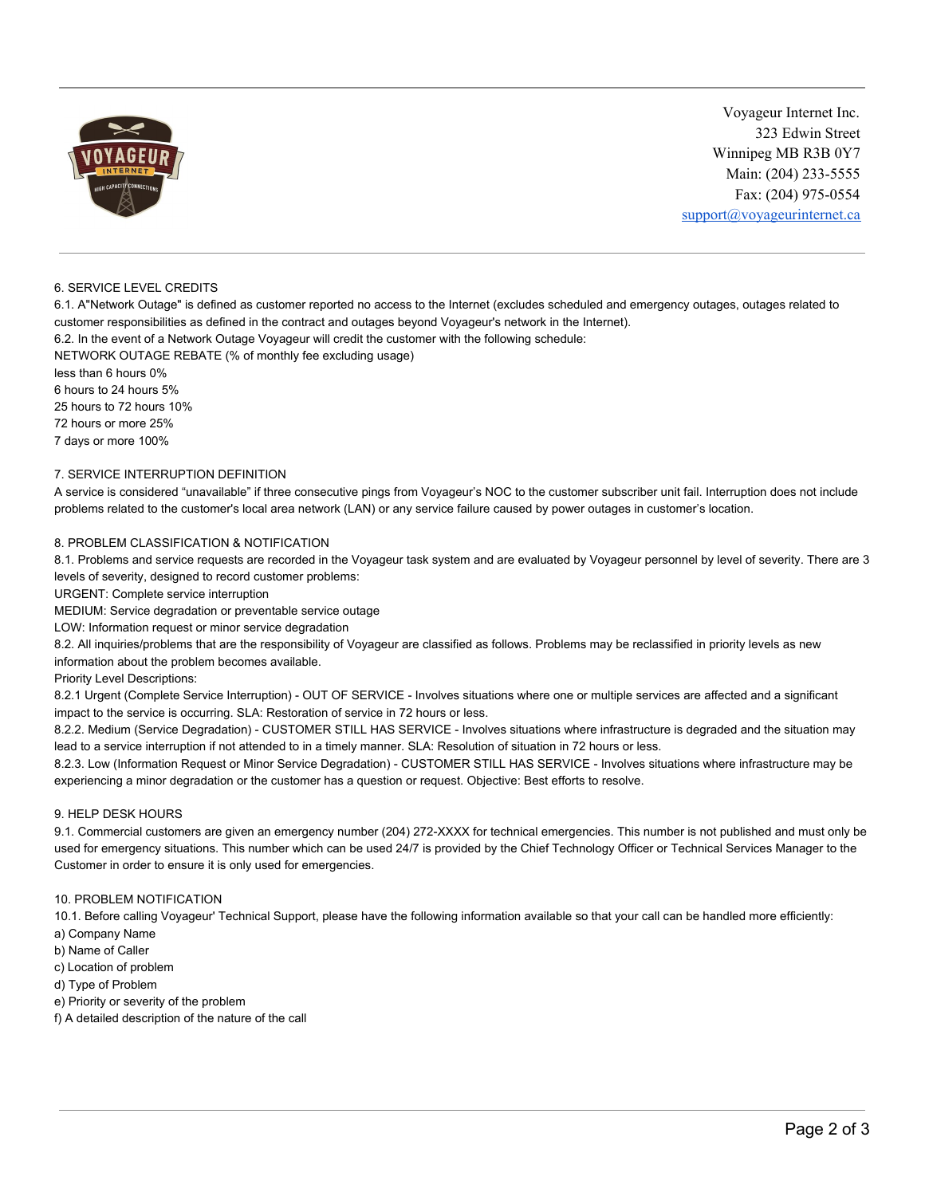

Voyageur Internet Inc. 323 Edwin Street Winnipeg MB R3B 0Y7 Main: (204) 233-5555 Fax: (204) 975-0554 [support@voyageurinternet.ca](mailto:support@voyageurinternet.ca)

## 6. SERVICE LEVEL CREDITS

6.1. A"Network Outage" is defined as customer reported no access to the Internet (excludes scheduled and emergency outages, outages related to customer responsibilities as defined in the contract and outages beyond Voyageur's network in the Internet).

6.2. In the event of a Network Outage Voyageur will credit the customer with the following schedule:

NETWORK OUTAGE REBATE (% of monthly fee excluding usage)

less than 6 hours 0%

6 hours to 24 hours 5%

25 hours to 72 hours 10%

72 hours or more 25%

7 days or more 100%

# 7. SERVICE INTERRUPTION DEFINITION

A service is considered "unavailable" if three consecutive pings from Voyageur's NOC to the customer subscriber unit fail. Interruption does not include problems related to the customer's local area network (LAN) or any service failure caused by power outages in customer's location.

# 8. PROBLEM CLASSIFICATION & NOTIFICATION

8.1. Problems and service requests are recorded in the Voyageur task system and are evaluated by Voyageur personnel by level of severity. There are 3 levels of severity, designed to record customer problems:

URGENT: Complete service interruption

MEDIUM: Service degradation or preventable service outage

LOW: Information request or minor service degradation

8.2. All inquiries/problems that are the responsibility of Voyageur are classified as follows. Problems may be reclassified in priority levels as new information about the problem becomes available.

Priority Level Descriptions:

8.2.1 Urgent (Complete Service Interruption) - OUT OF SERVICE - Involves situations where one or multiple services are affected and a significant impact to the service is occurring. SLA: Restoration of service in 72 hours or less.

8.2.2. Medium (Service Degradation) - CUSTOMER STILL HAS SERVICE - Involves situations where infrastructure is degraded and the situation may lead to a service interruption if not attended to in a timely manner. SLA: Resolution of situation in 72 hours or less.

8.2.3. Low (Information Request or Minor Service Degradation) - CUSTOMER STILL HAS SERVICE - Involves situations where infrastructure may be experiencing a minor degradation or the customer has a question or request. Objective: Best efforts to resolve.

# 9. HELP DESK HOURS

9.1. Commercial customers are given an emergency number (204) 272-XXXX for technical emergencies. This number is not published and must only be used for emergency situations. This number which can be used 24/7 is provided by the Chief Technology Officer or Technical Services Manager to the Customer in order to ensure it is only used for emergencies.

### 10. PROBLEM NOTIFICATION

10.1. Before calling Voyageur' Technical Support, please have the following information available so that your call can be handled more efficiently:

- a) Company Name
- b) Name of Caller
- c) Location of problem
- d) Type of Problem
- e) Priority or severity of the problem
- f) A detailed description of the nature of the call